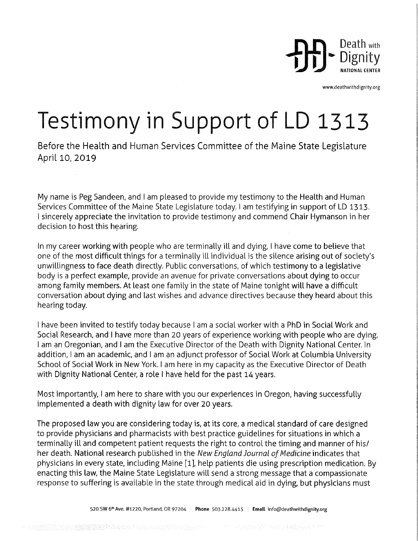

www.deathwithdignity.org

§

R.

## Testimony in Support of LD 1313

Before the Health and Human Services Committee of the Maine State Legislature April 10, 2019

My name is Peg Sandeen, and I am pleased to provide my testimony to the Health and Human Services Committee of the Maine State Legislature today. I am testifying in support of LD 1313. <sup>I</sup>sincerely appreciate the invitation to provide testimony and commend Chair Hymanson in her decision to host this hearing.

In my career working with people who are terminally ill and dying, I have come to believe that one of the most difficult things for a terminally ill individual is the silence arising out of society's unwillingness to face death directly. Public conversations, of which testimony to a legislative body is a perfect example, provide an avenue for private conversations about dying to occur among family members. At least one family in the state of Maine tonight will have a difficult conversation about dying and last wishes and advance directives because they heard about this hearing today.

I have been invited to testify today because I am a social worker with a PhD in Social Work and Social Research, and I have more than 20 years of experience working with people who are dying. <sup>I</sup>am an Oregonian, and I am the Executive Director of the Death with Dignity National Center. In addition, I am an academic, and I am an adjunct professor of Social Work at Columbia University School of Social Work in New York. I am here in my capacity as the Executive Director of Death with Dignity National Center, a role I have held for the past 14 years.

Most importantly, I am here to share with you our experiences in Oregon, having successfully implemented a death with dignity law for over 20 years.

The proposed law you are considering today is, at its core, a medical standard of care designed to provide physicians and pharmacists with best practice guidelines for situations in which a terminally ill and competent patient requests the right to control the timing and manner of his/ her death. National research published in the New England Journal of Medicine indicates that physicians in every state, including Maine [1], help patients die using prescription medication. By enacting this law, the Maine State Legislature will send a strong message that a compassionate response to suffering is available in the state through medical aid in dying, but physicians must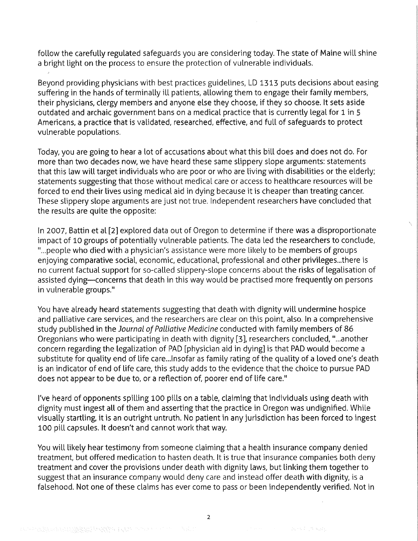follow the carefully regulated safeguards you are considering today. The state of Maine will shine a bright light on the process to ensure the protection of vulnerable individuals.

i

Beyond providing physicians with best practices guidelines, LD 1313 puts decisions about easing suffering in the hands of terminally ill patients, allowing them to engage their family members, their physicians, clergy members and anyone else they choose, if they so choose. It sets aside outdated and archaic government bans on a medical practice that is currently legal for 1 in 5 Americans, a practice that is validated, researched, effective, and full of safeguards to protect vulnerable populations.

Today, you are going to hear a lot of accusations about what this bill does and does not do. For more than two decades now, we have heard these same slippery slope arguments: statements that this law will target individuals who are poor or who are living with disabilities or the elderly; statements suggesting that those without medical care or access to healthcare resources will be forced to end their lives using medical aid in dying because it is cheaper than treating cancer. These slippery slope arguments are just not true. Independent researchers have concluded that the results are quite the opposite:

In 2007, Battin et al [2] explored data out of Oregon to determine if there was a disproportionate impact of 10 groups of potentially vulnerable patients. The data led the researchers to conclude, " ...people who died with a physician's assistance were more likely to be members of groups enjoying comparative social, economic, educational, professional and other privileges...there is no current factual support for so-called slippery-slope concerns about the risks of legalisation of assisted dying-concerns that death in this way would be practised more frequently on persons in vulnerable groups."

You have already heard statements suggesting that death with dignity will undermine hospice and palliative care services, and the researchers are clear on this point, also. In a comprehensive study published in the Journal of Palliative Medicine conducted with family members of 86 Oregonians who were participating in death with dignity [3], researchers concluded, "...another concern regarding the legalization of PAD [physician aid in dying] is that PAD would become <sup>a</sup> substitute for quality end of life care... Insofar as family rating of the quality of a loved one's death is an indicator of end of life care, this study adds to the evidence that the choice to pursue PAD does not appear to be due to, or a reflection of, poorer end of life care."

I've heard of opponents spilling 100 pills on a table, claiming that individuals using death with dignity must ingest all of them and asserting that the practice in Oregon was undignified. While visually startling, it is an outright untruth. No patient in anyjurisdiction has been forced to ingest 100 pill capsules. It doesn't and cannot work that way.

You will likely hear testimony from someone claiming that a health insurance company denied treatment, but offered medication to hasten death. It is true that insurance companies both deny treatment and cover the provisions under death with dignity laws, but linking them together to suggest that an insurance company would deny care and instead offer death with dignity, is <sup>a</sup> falsehood. Not one of these claims has ever come to pass or been independently verified. Not in

there is a summer that I want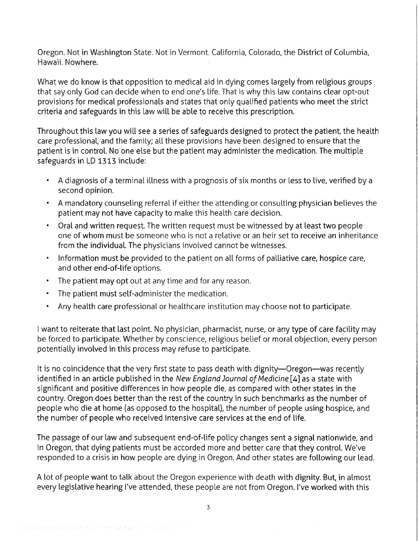Oregon. Not in Washington State. Not in Vermont. California, Colorado, the District of Columbia, Hawaii. Nowhere.

What we do know is that opposition to medical aid in dying comes largely from religious groups that say only God can decide when to end one's life. That is why this law contains clear opt-out provisions for medical professionals and states that only qualified patients who meet the strict criteria and safeguards in this law will be able to receive this prescription.

Throughout this law you will see a series of safeguards designed to protect the patient, the health care professional, and the family; all these provisions have been designed to ensure that the patient is in control. No one else but the patient may administer the medication. The multiple safeguards in LD 1313 include:

- <sup>~</sup>A diagnosis of a terminal illness with a prognosis of six months or less to live, verified by <sup>a</sup> second opinion.
- <sup>~</sup>A mandatory counseling referral if either the attending or consulting physician believes the patient may not have capacity to make this health care decision.
- Oral and written request. The written request must be witnessed by at least two people one of whom must be someone who is not a relative or an heir set to receive an inheritance from the individual. The physicians involved cannot be witnesses.

(

r

E .§ i?

- ' Information must be provided to the patient on all forms of palliative care, hospice care, and other end-of-life options.
- The patient may opt out at any time and for any reason.
- The patient must self administer the medication.
- ' Any health care professional or healthcare institution may choose not to participate.

<sup>l</sup>want to reiterate that last point. No physician, pharmacist, nurse, or any type of care facility may be forced to participate. Whether by conscience, religious belief or moral objection, every person potentially involved in this process may refuse to participate.

It is no coincidence that the very first state to pass death with dignity—Oregon—was recently identified in an article published in the New England Journal of Medicine  $[4]$  as a state with significant and positive differences in how people die, as compared with other states in the country. Oregon does better than the rest of the country in such benchmarks as the number of people who die at home (as opposed to the hospital), the number of people using hospice, and the number of people who received intensive care services at the end of life.

The passage of our law and subsequent end-of-life policy changes sent a signal nationwide, and in Oregon, that dying patients must be accorded more and better care that they control. We've responded to a crisis in how people are dying in Oregon. And other states are following our lead.

A lot of people want to talk about the Oregon experience with death with dignity. But, in almost every legislative hearing I've attended, these people are not from Oregon. I've worked with this